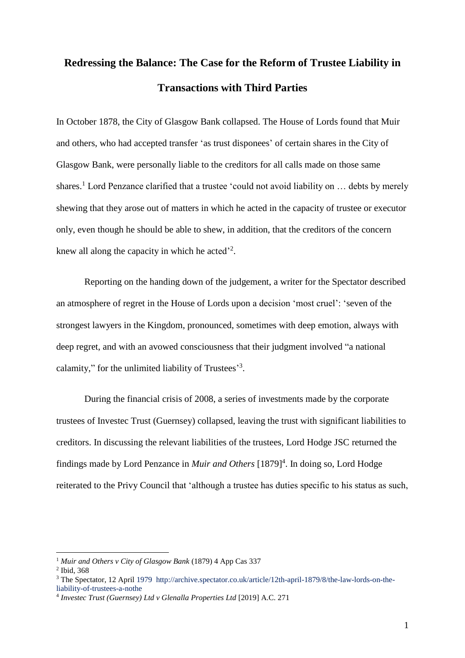# **Redressing the Balance: The Case for the Reform of Trustee Liability in Transactions with Third Parties**

In October 1878, the City of Glasgow Bank collapsed. The House of Lords found that Muir and others, who had accepted transfer 'as trust disponees' of certain shares in the City of Glasgow Bank, were personally liable to the creditors for all calls made on those same shares.<sup>1</sup> Lord Penzance clarified that a trustee 'could not avoid liability on  $\ldots$  debts by merely shewing that they arose out of matters in which he acted in the capacity of trustee or executor only, even though he should be able to shew, in addition, that the creditors of the concern knew all along the capacity in which he acted<sup>22</sup>.

Reporting on the handing down of the judgement, a writer for the Spectator described an atmosphere of regret in the House of Lords upon a decision 'most cruel': 'seven of the strongest lawyers in the Kingdom, pronounced, sometimes with deep emotion, always with deep regret, and with an avowed consciousness that their judgment involved "a national calamity," for the unlimited liability of Trustees'<sup>3</sup>.

During the financial crisis of 2008, a series of investments made by the corporate trustees of Investec Trust (Guernsey) collapsed, leaving the trust with significant liabilities to creditors. In discussing the relevant liabilities of the trustees, Lord Hodge JSC returned the findings made by Lord Penzance in *Muir and Others* [1879]<sup>4</sup>. In doing so, Lord Hodge reiterated to the Privy Council that 'although a trustee has duties specific to his status as such,

<sup>1</sup> *Muir and Others v City of Glasgow Bank* (1879) 4 App Cas 337

<sup>2</sup> Ibid, 368

<sup>3</sup> The Spectator, 12 April 1979 [http://archive.spectator.co.uk/article/12th-april-1879/8/the-law-lords-on-the](http://archive.spectator.co.uk/article/12th-april-1879/8/the-law-lords-on-the-liability-of-trustees-a-nothe)[liability-of-trustees-a-nothe](http://archive.spectator.co.uk/article/12th-april-1879/8/the-law-lords-on-the-liability-of-trustees-a-nothe) 

<sup>4</sup> *Investec Trust (Guernsey) Ltd v Glenalla Properties Ltd* [2019] A.C. 271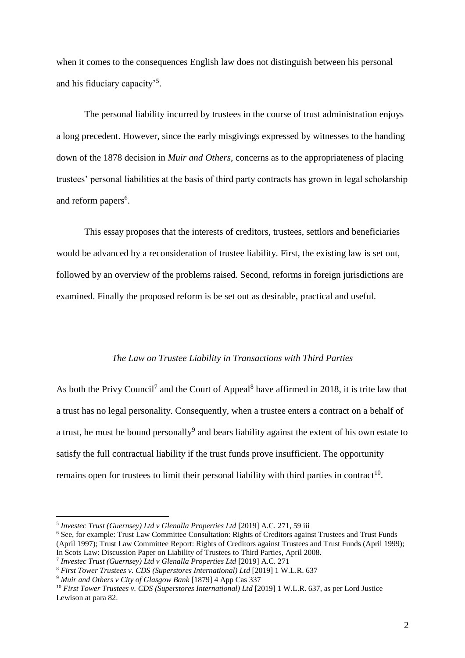when it comes to the consequences English law does not distinguish between his personal and his fiduciary capacity'<sup>5</sup>.

The personal liability incurred by trustees in the course of trust administration enjoys a long precedent. However, since the early misgivings expressed by witnesses to the handing down of the 1878 decision in *Muir and Others*, concerns as to the appropriateness of placing trustees' personal liabilities at the basis of third party contracts has grown in legal scholarship and reform papers<sup>6</sup>.

This essay proposes that the interests of creditors, trustees, settlors and beneficiaries would be advanced by a reconsideration of trustee liability. First, the existing law is set out, followed by an overview of the problems raised. Second, reforms in foreign jurisdictions are examined. Finally the proposed reform is be set out as desirable, practical and useful.

#### *The Law on Trustee Liability in Transactions with Third Parties*

As both the Privy Council<sup>7</sup> and the Court of Appeal<sup>8</sup> have affirmed in 2018, it is trite law that a trust has no legal personality. Consequently, when a trustee enters a contract on a behalf of a trust, he must be bound personally<sup>9</sup> and bears liability against the extent of his own estate to satisfy the full contractual liability if the trust funds prove insufficient. The opportunity remains open for trustees to limit their personal liability with third parties in contract<sup>10</sup>.

<sup>5</sup> *Investec Trust (Guernsey) Ltd v Glenalla Properties Ltd* [2019] A.C. 271, 59 iii

<sup>6</sup> See, for example: Trust Law Committee Consultation: Rights of Creditors against Trustees and Trust Funds (April 1997); Trust Law Committee Report: Rights of Creditors against Trustees and Trust Funds (April 1999); In Scots Law: Discussion Paper on Liability of Trustees to Third Parties, April 2008.

<sup>7</sup> *Investec Trust (Guernsey) Ltd v Glenalla Properties Ltd* [2019] A.C. 271

<sup>8</sup> *First Tower Trustees v. CDS (Superstores International) Ltd* [2019] 1 W.L.R. 637

<sup>9</sup> *Muir and Others v City of Glasgow Bank* [1879] 4 App Cas 337

<sup>10</sup> *First Tower Trustees v. CDS (Superstores International) Ltd* [2019] 1 W.L.R. 637, as per Lord Justice Lewison at para 82.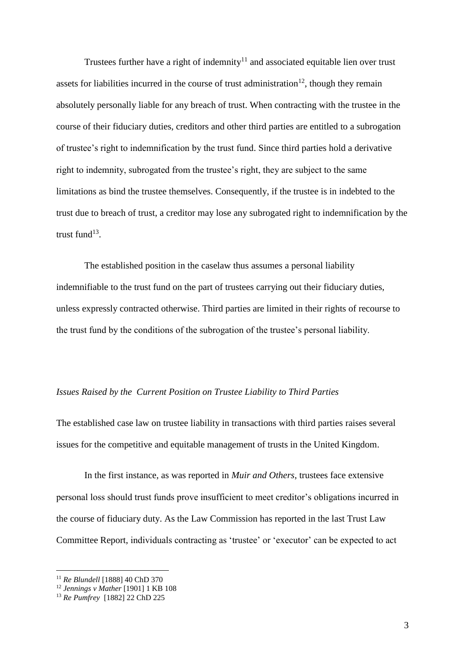Trustees further have a right of indemnity<sup>11</sup> and associated equitable lien over trust assets for liabilities incurred in the course of trust administration<sup>12</sup>, though they remain absolutely personally liable for any breach of trust. When contracting with the trustee in the course of their fiduciary duties, creditors and other third parties are entitled to a subrogation of trustee's right to indemnification by the trust fund. Since third parties hold a derivative right to indemnity, subrogated from the trustee's right, they are subject to the same limitations as bind the trustee themselves. Consequently, if the trustee is in indebted to the trust due to breach of trust, a creditor may lose any subrogated right to indemnification by the trust fund $^{13}$ .

The established position in the caselaw thus assumes a personal liability indemnifiable to the trust fund on the part of trustees carrying out their fiduciary duties, unless expressly contracted otherwise. Third parties are limited in their rights of recourse to the trust fund by the conditions of the subrogation of the trustee's personal liability.

## *Issues Raised by the Current Position on Trustee Liability to Third Parties*

The established case law on trustee liability in transactions with third parties raises several issues for the competitive and equitable management of trusts in the United Kingdom.

In the first instance, as was reported in *Muir and Others*, trustees face extensive personal loss should trust funds prove insufficient to meet creditor's obligations incurred in the course of fiduciary duty. As the Law Commission has reported in the last Trust Law Committee Report, individuals contracting as 'trustee' or 'executor' can be expected to act

<sup>11</sup> *Re Blundell* [1888] 40 ChD 370

<sup>12</sup> *Jennings v Mather* [1901] 1 KB 108

<sup>13</sup> *Re Pumfrey* [1882] 22 ChD 225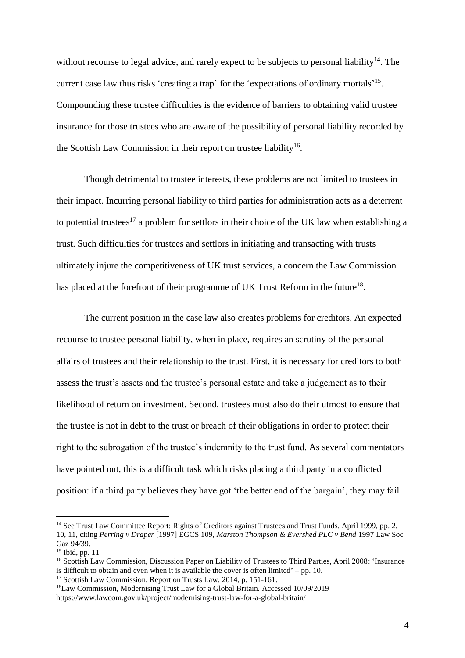without recourse to legal advice, and rarely expect to be subjects to personal liability<sup>14</sup>. The current case law thus risks 'creating a trap' for the 'expectations of ordinary mortals'<sup>15</sup>. Compounding these trustee difficulties is the evidence of barriers to obtaining valid trustee insurance for those trustees who are aware of the possibility of personal liability recorded by the Scottish Law Commission in their report on trustee liability<sup>16</sup>.

Though detrimental to trustee interests, these problems are not limited to trustees in their impact. Incurring personal liability to third parties for administration acts as a deterrent to potential trustees<sup>17</sup> a problem for settlors in their choice of the UK law when establishing a trust. Such difficulties for trustees and settlors in initiating and transacting with trusts ultimately injure the competitiveness of UK trust services, a concern the Law Commission has placed at the forefront of their programme of UK Trust Reform in the future<sup>18</sup>.

The current position in the case law also creates problems for creditors. An expected recourse to trustee personal liability, when in place, requires an scrutiny of the personal affairs of trustees and their relationship to the trust. First, it is necessary for creditors to both assess the trust's assets and the trustee's personal estate and take a judgement as to their likelihood of return on investment. Second, trustees must also do their utmost to ensure that the trustee is not in debt to the trust or breach of their obligations in order to protect their right to the subrogation of the trustee's indemnity to the trust fund. As several commentators have pointed out, this is a difficult task which risks placing a third party in a conflicted position: if a third party believes they have got 'the better end of the bargain', they may fail

<sup>&</sup>lt;sup>14</sup> See Trust Law Committee Report: Rights of Creditors against Trustees and Trust Funds, April 1999, pp. 2, 10, 11, citing *Perring v Draper* [1997] EGCS 109, *Marston Thompson & Evershed PLC v Bend* 1997 Law Soc Gaz 94/39.

<sup>&</sup>lt;sup>15</sup> Ibid, pp. 11

<sup>&</sup>lt;sup>16</sup> Scottish Law Commission, Discussion Paper on Liability of Trustees to Third Parties, April 2008: 'Insurance is difficult to obtain and even when it is available the cover is often limited' – pp. 10.

<sup>&</sup>lt;sup>17</sup> Scottish Law Commission, Report on Trusts Law, 2014, p. 151-161.

<sup>18</sup>Law Commission, Modernising Trust Law for a Global Britain. Accessed 10/09/2019 https://www.lawcom.gov.uk/project/modernising-trust-law-for-a-global-britain/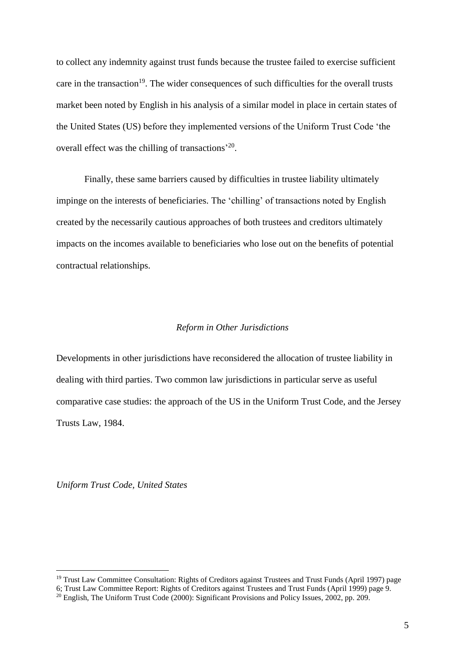to collect any indemnity against trust funds because the trustee failed to exercise sufficient care in the transaction<sup>19</sup>. The wider consequences of such difficulties for the overall trusts market been noted by English in his analysis of a similar model in place in certain states of the United States (US) before they implemented versions of the Uniform Trust Code 'the overall effect was the chilling of transactions<sup>'20</sup>.

Finally, these same barriers caused by difficulties in trustee liability ultimately impinge on the interests of beneficiaries. The 'chilling' of transactions noted by English created by the necessarily cautious approaches of both trustees and creditors ultimately impacts on the incomes available to beneficiaries who lose out on the benefits of potential contractual relationships.

#### *Reform in Other Jurisdictions*

Developments in other jurisdictions have reconsidered the allocation of trustee liability in dealing with third parties. Two common law jurisdictions in particular serve as useful comparative case studies: the approach of the US in the Uniform Trust Code, and the Jersey Trusts Law, 1984.

*Uniform Trust Code, United States*

<sup>19</sup> Trust Law Committee Consultation: Rights of Creditors against Trustees and Trust Funds (April 1997) page

<sup>6;</sup> Trust Law Committee Report: Rights of Creditors against Trustees and Trust Funds (April 1999) page 9.

<sup>&</sup>lt;sup>20</sup> English, The Uniform Trust Code (2000): Significant Provisions and Policy Issues, 2002, pp. 209.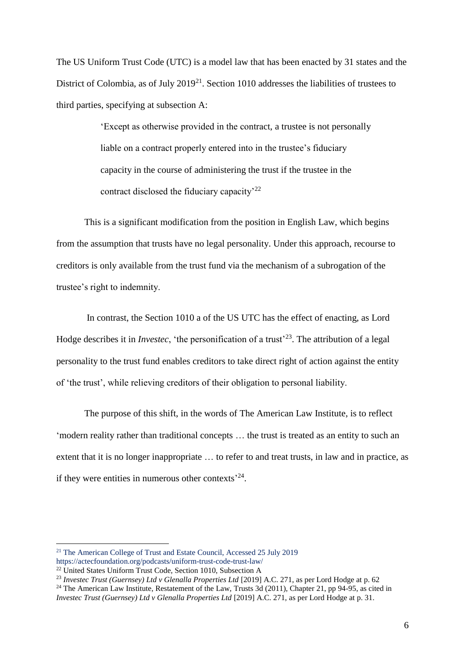The US Uniform Trust Code (UTC) is a model law that has been enacted by 31 states and the District of Colombia, as of July 2019<sup>21</sup>. Section 1010 addresses the liabilities of trustees to third parties, specifying at subsection A:

> 'Except as otherwise provided in the contract, a trustee is not personally liable on a contract properly entered into in the trustee's fiduciary capacity in the course of administering the trust if the trustee in the contract disclosed the fiduciary capacity<sup>22</sup>

This is a significant modification from the position in English Law, which begins from the assumption that trusts have no legal personality. Under this approach, recourse to creditors is only available from the trust fund via the mechanism of a subrogation of the trustee's right to indemnity.

In contrast, the Section 1010 a of the US UTC has the effect of enacting, as Lord Hodge describes it in *Investec*, 'the personification of a trust'<sup>23</sup>. The attribution of a legal personality to the trust fund enables creditors to take direct right of action against the entity of 'the trust', while relieving creditors of their obligation to personal liability.

The purpose of this shift, in the words of The American Law Institute, is to reflect 'modern reality rather than traditional concepts … the trust is treated as an entity to such an extent that it is no longer inappropriate … to refer to and treat trusts, in law and in practice, as if they were entities in numerous other contexts<sup> $24$ </sup>.

<sup>&</sup>lt;sup>21</sup> The American College of Trust and Estate Council, Accessed 25 July 2019

<https://actecfoundation.org/podcasts/uniform-trust-code-trust-law/>

<sup>&</sup>lt;sup>22</sup> United States Uniform Trust Code, Section 1010, Subsection A

<sup>23</sup> *Investec Trust (Guernsey) Ltd v Glenalla Properties Ltd* [2019] A.C. 271, as per Lord Hodge at p. 62

<sup>&</sup>lt;sup>24</sup> The American Law Institute, Restatement of the Law, Trusts 3d (2011), Chapter 21, pp 94-95, as cited in

*Investec Trust (Guernsey) Ltd v Glenalla Properties Ltd* [2019] A.C. 271, as per Lord Hodge at p. 31.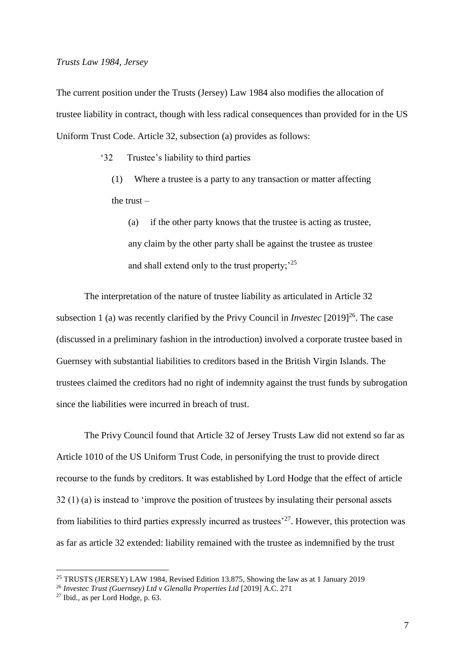The current position under the Trusts (Jersey) Law 1984 also modifies the allocation of trustee liability in contract, though with less radical consequences than provided for in the US Uniform Trust Code. Article 32, subsection (a) provides as follows:

'32 Trustee's liability to third parties

(1) Where a trustee is a party to any transaction or matter affecting the trust –

(a) if the other party knows that the trustee is acting as trustee, any claim by the other party shall be against the trustee as trustee and shall extend only to the trust property;<sup>25</sup>

The interpretation of the nature of trustee liability as articulated in Article 32 subsection 1 (a) was recently clarified by the Privy Council in *Investec* [2019]<sup>26</sup>. The case (discussed in a preliminary fashion in the introduction) involved a corporate trustee based in Guernsey with substantial liabilities to creditors based in the British Virgin Islands. The trustees claimed the creditors had no right of indemnity against the trust funds by subrogation since the liabilities were incurred in breach of trust.

The Privy Council found that Article 32 of Jersey Trusts Law did not extend so far as Article 1010 of the US Uniform Trust Code, in personifying the trust to provide direct recourse to the funds by creditors. It was established by Lord Hodge that the effect of article 32 (1) (a) is instead to 'improve the position of trustees by insulating their personal assets from liabilities to third parties expressly incurred as trustees<sup>227</sup>. However, this protection was as far as article 32 extended: liability remained with the trustee as indemnified by the trust

<sup>25</sup> TRUSTS (JERSEY) LAW 1984, Revised Edition 13.875, Showing the law as at 1 January 2019

<sup>26</sup> *Investec Trust (Guernsey) Ltd v Glenalla Properties Ltd* [2019] A.C. 271

<sup>27</sup> Ibid., as per Lord Hodge, p. 63.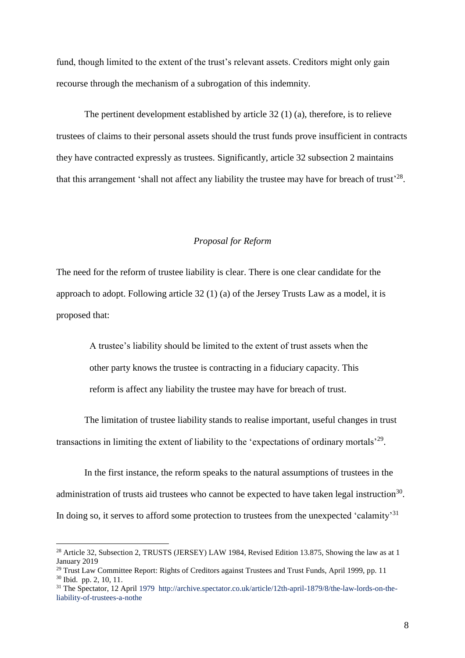fund, though limited to the extent of the trust's relevant assets. Creditors might only gain recourse through the mechanism of a subrogation of this indemnity.

The pertinent development established by article 32 (1) (a), therefore, is to relieve trustees of claims to their personal assets should the trust funds prove insufficient in contracts they have contracted expressly as trustees. Significantly, article 32 subsection 2 maintains that this arrangement 'shall not affect any liability the trustee may have for breach of trust'<sup>28</sup>.

### *Proposal for Reform*

The need for the reform of trustee liability is clear. There is one clear candidate for the approach to adopt. Following article 32 (1) (a) of the Jersey Trusts Law as a model, it is proposed that:

> A trustee's liability should be limited to the extent of trust assets when the other party knows the trustee is contracting in a fiduciary capacity. This reform is affect any liability the trustee may have for breach of trust.

The limitation of trustee liability stands to realise important, useful changes in trust transactions in limiting the extent of liability to the 'expectations of ordinary mortals'<sup>29</sup>.

In the first instance, the reform speaks to the natural assumptions of trustees in the administration of trusts aid trustees who cannot be expected to have taken legal instruction<sup>30</sup>. In doing so, it serves to afford some protection to trustees from the unexpected 'calamity'<sup>31</sup>

<sup>&</sup>lt;sup>28</sup> Article 32, Subsection 2, TRUSTS (JERSEY) LAW 1984, Revised Edition 13.875, Showing the law as at 1 January 2019

<sup>&</sup>lt;sup>29</sup> Trust Law Committee Report: Rights of Creditors against Trustees and Trust Funds, April 1999, pp. 11 <sup>30</sup> Ibid. pp. 2, 10, 11.

<sup>31</sup> The Spectator, 12 April 1979 [http://archive.spectator.co.uk/article/12th-april-1879/8/the-law-lords-on-the](http://archive.spectator.co.uk/article/12th-april-1879/8/the-law-lords-on-the-liability-of-trustees-a-nothe)[liability-of-trustees-a-nothe](http://archive.spectator.co.uk/article/12th-april-1879/8/the-law-lords-on-the-liability-of-trustees-a-nothe)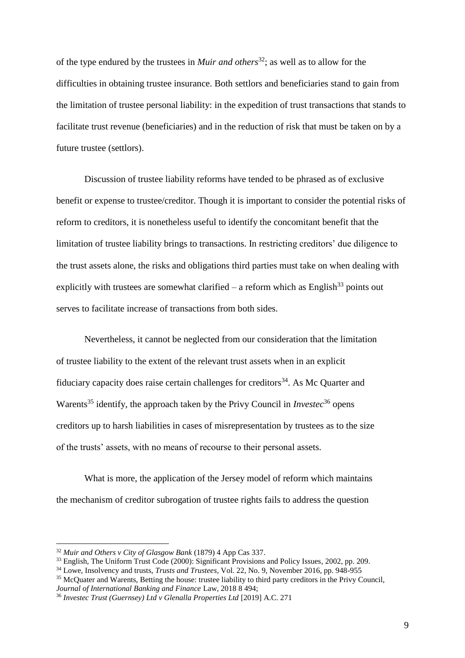of the type endured by the trustees in *Muir and others*<sup>32</sup>; as well as to allow for the difficulties in obtaining trustee insurance. Both settlors and beneficiaries stand to gain from the limitation of trustee personal liability: in the expedition of trust transactions that stands to facilitate trust revenue (beneficiaries) and in the reduction of risk that must be taken on by a future trustee (settlors).

Discussion of trustee liability reforms have tended to be phrased as of exclusive benefit or expense to trustee/creditor. Though it is important to consider the potential risks of reform to creditors, it is nonetheless useful to identify the concomitant benefit that the limitation of trustee liability brings to transactions. In restricting creditors' due diligence to the trust assets alone, the risks and obligations third parties must take on when dealing with explicitly with trustees are somewhat clarified – a reform which as English<sup>33</sup> points out serves to facilitate increase of transactions from both sides.

Nevertheless, it cannot be neglected from our consideration that the limitation of trustee liability to the extent of the relevant trust assets when in an explicit fiduciary capacity does raise certain challenges for creditors<sup>34</sup>. As Mc Quarter and Warents<sup>35</sup> identify, the approach taken by the Privy Council in *Investec*<sup>36</sup> opens creditors up to harsh liabilities in cases of misrepresentation by trustees as to the size of the trusts' assets, with no means of recourse to their personal assets.

What is more, the application of the Jersey model of reform which maintains the mechanism of creditor subrogation of trustee rights fails to address the question

<sup>32</sup> *Muir and Others v City of Glasgow Bank* (1879) 4 App Cas 337.

<sup>&</sup>lt;sup>33</sup> English, The Uniform Trust Code (2000): Significant Provisions and Policy Issues, 2002, pp. 209.

<sup>34</sup> Lowe, Insolvency and trusts, *Trusts and Trustees*, Vol. 22, No. 9, November 2016, pp. 948-955

<sup>&</sup>lt;sup>35</sup> McQuater and Warents, Betting the house: trustee liability to third party creditors in the Privy Council, *Journal of International Banking and Finance* Law, 2018 8 494;

<sup>36</sup> *Investec Trust (Guernsey) Ltd v Glenalla Properties Ltd* [2019] A.C. 271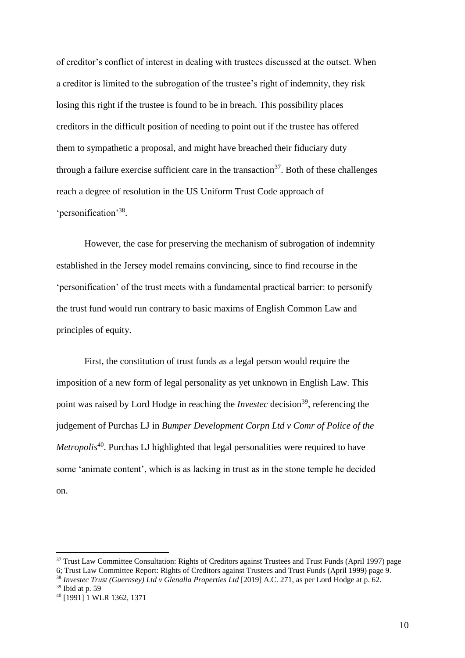of creditor's conflict of interest in dealing with trustees discussed at the outset. When a creditor is limited to the subrogation of the trustee's right of indemnity, they risk losing this right if the trustee is found to be in breach. This possibility places creditors in the difficult position of needing to point out if the trustee has offered them to sympathetic a proposal, and might have breached their fiduciary duty through a failure exercise sufficient care in the transaction<sup>37</sup>. Both of these challenges reach a degree of resolution in the US Uniform Trust Code approach of 'personification'<sup>38</sup> .

However, the case for preserving the mechanism of subrogation of indemnity established in the Jersey model remains convincing, since to find recourse in the 'personification' of the trust meets with a fundamental practical barrier: to personify the trust fund would run contrary to basic maxims of English Common Law and principles of equity.

First, the constitution of trust funds as a legal person would require the imposition of a new form of legal personality as yet unknown in English Law. This point was raised by Lord Hodge in reaching the *Investec* decision<sup>39</sup>, referencing the judgement of Purchas LJ in *Bumper Development Corpn Ltd v Comr of Police of the Metropolis*<sup>40</sup>. Purchas LJ highlighted that legal personalities were required to have some 'animate content', which is as lacking in trust as in the stone temple he decided on.

<sup>&</sup>lt;sup>37</sup> Trust Law Committee Consultation: Rights of Creditors against Trustees and Trust Funds (April 1997) page 6; Trust Law Committee Report: Rights of Creditors against Trustees and Trust Funds (April 1999) page 9.

<sup>38</sup> *Investec Trust (Guernsey) Ltd v Glenalla Properties Ltd* [2019] A.C. 271, as per Lord Hodge at p. 62.

 $39$  Ibid at p. 59

<sup>40</sup> [1991] 1 WLR 1362, 1371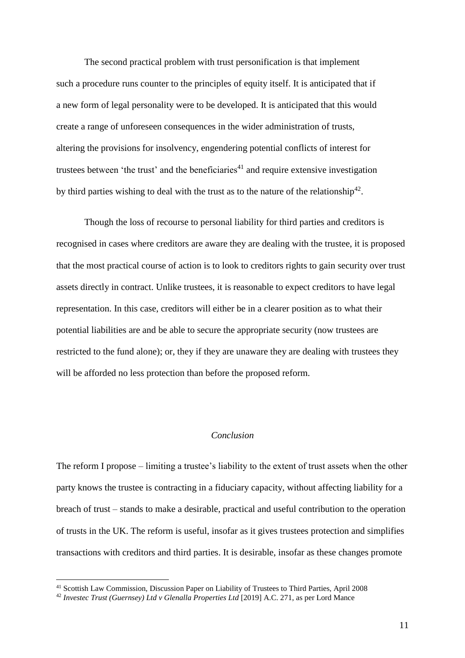The second practical problem with trust personification is that implement such a procedure runs counter to the principles of equity itself. It is anticipated that if a new form of legal personality were to be developed. It is anticipated that this would create a range of unforeseen consequences in the wider administration of trusts, altering the provisions for insolvency, engendering potential conflicts of interest for trustees between 'the trust' and the beneficiaries<sup>41</sup> and require extensive investigation by third parties wishing to deal with the trust as to the nature of the relationship<sup>42</sup>.

Though the loss of recourse to personal liability for third parties and creditors is recognised in cases where creditors are aware they are dealing with the trustee, it is proposed that the most practical course of action is to look to creditors rights to gain security over trust assets directly in contract. Unlike trustees, it is reasonable to expect creditors to have legal representation. In this case, creditors will either be in a clearer position as to what their potential liabilities are and be able to secure the appropriate security (now trustees are restricted to the fund alone); or, they if they are unaware they are dealing with trustees they will be afforded no less protection than before the proposed reform.

## *Conclusion*

The reform I propose – limiting a trustee's liability to the extent of trust assets when the other party knows the trustee is contracting in a fiduciary capacity, without affecting liability for a breach of trust – stands to make a desirable, practical and useful contribution to the operation of trusts in the UK. The reform is useful, insofar as it gives trustees protection and simplifies transactions with creditors and third parties. It is desirable, insofar as these changes promote

<sup>41</sup> Scottish Law Commission, Discussion Paper on Liability of Trustees to Third Parties, April 2008

<sup>42</sup> *Investec Trust (Guernsey) Ltd v Glenalla Properties Ltd* [2019] A.C. 271, as per Lord Mance